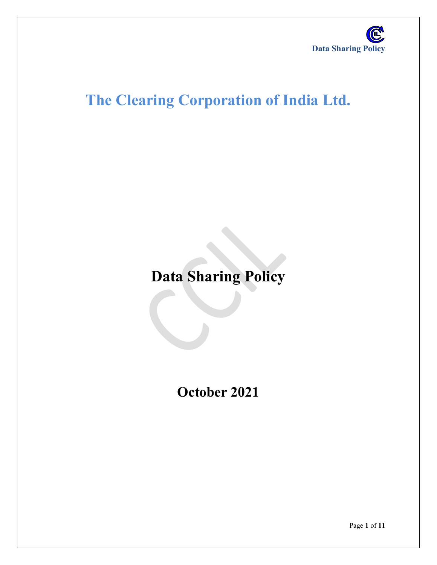

# **The Clearing Corporation of India Ltd.**

**Data Sharing Policy**

**October 2021**

Page **1** of **11**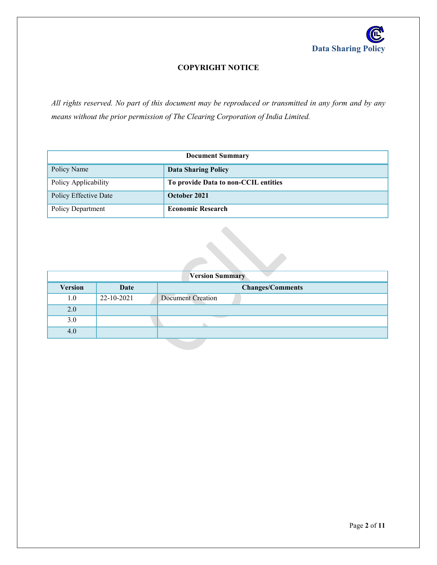

## **COPYRIGHT NOTICE**

*All rights reserved. No part of this document may be reproduced or transmitted in any form and by any means without the prior permission of The Clearing Corporation of India Limited.*

| <b>Document Summary</b> |                                      |  |
|-------------------------|--------------------------------------|--|
| Policy Name             | <b>Data Sharing Policy</b>           |  |
| Policy Applicability    | To provide Data to non-CCIL entities |  |
| Policy Effective Date   | October 2021                         |  |
| Policy Department       | <b>Economic Research</b>             |  |

| <b>Version Summary</b> |            |                          |  |  |
|------------------------|------------|--------------------------|--|--|
| <b>Version</b>         | Date       | <b>Changes/Comments</b>  |  |  |
| 1.0                    | 22-10-2021 | <b>Document Creation</b> |  |  |
| 2.0                    |            |                          |  |  |
| 3.0                    |            |                          |  |  |
| 4.0                    |            |                          |  |  |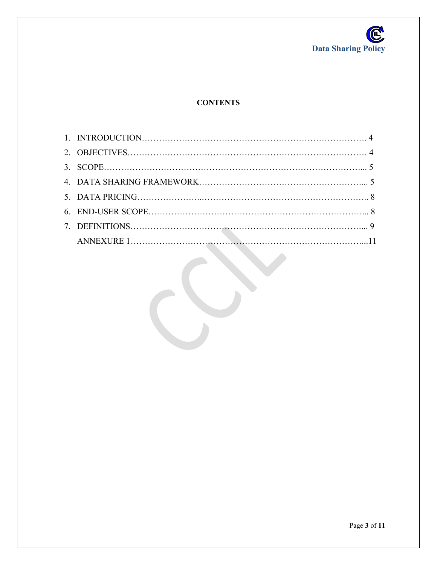

# **CONTENTS**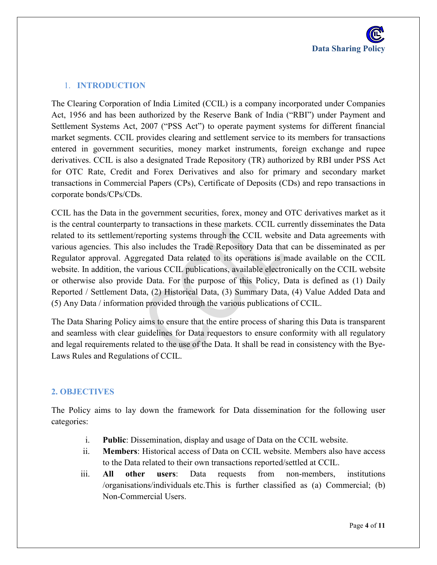## 1. **INTRODUCTION**

The Clearing Corporation of India Limited (CCIL) is a company incorporated under Companies Act, 1956 and has been authorized by the Reserve Bank of India ("RBI") under Payment and Settlement Systems Act, 2007 ("PSS Act") to operate payment systems for different financial market segments. CCIL provides clearing and settlement service to its members for transactions entered in government securities, money market instruments, foreign exchange and rupee derivatives. CCIL is also a designated Trade Repository (TR) authorized by RBI under PSS Act for OTC Rate, Credit and Forex Derivatives and also for primary and secondary market transactions in Commercial Papers (CPs), Certificate of Deposits (CDs) and repo transactions in corporate bonds/CPs/CDs.

CCIL has the Data in the government securities, forex, money and OTC derivatives market as it is the central counterparty to transactions in these markets. CCIL currently disseminates the Data related to its settlement/reporting systems through the CCIL website and Data agreements with various agencies. This also includes the Trade Repository Data that can be disseminated as per Regulator approval. Aggregated Data related to its operations is made available on the CCIL website. In addition, the various CCIL publications, available electronically on the CCIL website or otherwise also provide Data. For the purpose of this Policy, Data is defined as (1) Daily Reported / Settlement Data, (2) Historical Data, (3) Summary Data, (4) Value Added Data and (5) Any Data / information provided through the various publications of CCIL.

The Data Sharing Policy aims to ensure that the entire process of sharing this Data is transparent and seamless with clear guidelines for Data requestors to ensure conformity with all regulatory and legal requirements related to the use of the Data. It shall be read in consistency with the Bye-Laws Rules and Regulations of CCIL.

## **2. OBJECTIVES**

The Policy aims to lay down the framework for Data dissemination for the following user categories:

- i. **Public**: Dissemination, display and usage of Data on the CCIL website.
- ii. **Members**: Historical access of Data on CCIL website. Members also have access to the Data related to their own transactions reported/settled at CCIL.
- iii. **All other users**: Data requests from non-members, institutions /organisations/individuals etc.This is further classified as (a) Commercial; (b) Non-Commercial Users.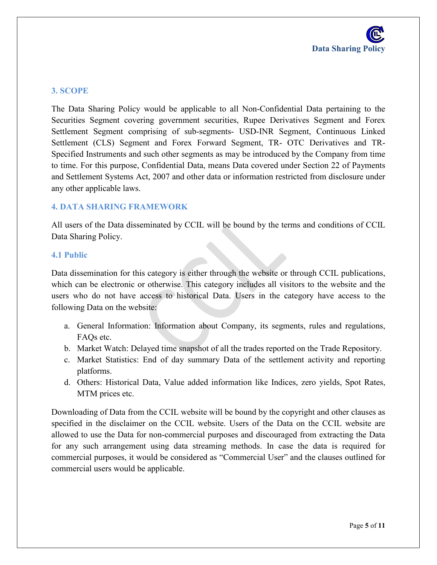

#### **3. SCOPE**

The Data Sharing Policy would be applicable to all Non-Confidential Data pertaining to the Securities Segment covering government securities, Rupee Derivatives Segment and Forex Settlement Segment comprising of sub-segments- USD-INR Segment, Continuous Linked Settlement (CLS) Segment and Forex Forward Segment, TR- OTC Derivatives and TR-Specified Instruments and such other segments as may be introduced by the Company from time to time. For this purpose, Confidential Data, means Data covered under Section 22 of Payments and Settlement Systems Act, 2007 and other data or information restricted from disclosure under any other applicable laws.

#### **4. DATA SHARING FRAMEWORK**

All users of the Data disseminated by CCIL will be bound by the terms and conditions of CCIL Data Sharing Policy.

#### **4.1 Public**

Data dissemination for this category is either through the website or through CCIL publications, which can be electronic or otherwise. This category includes all visitors to the website and the users who do not have access to historical Data. Users in the category have access to the following Data on the website:

- a. General Information: Information about Company, its segments, rules and regulations, FAQs etc.
- b. Market Watch: Delayed time snapshot of all the trades reported on the Trade Repository.
- c. Market Statistics: End of day summary Data of the settlement activity and reporting platforms.
- d. Others: Historical Data, Value added information like Indices, zero yields, Spot Rates, MTM prices etc.

Downloading of Data from the CCIL website will be bound by the copyright and other clauses as specified in the disclaimer on the CCIL website. Users of the Data on the CCIL website are allowed to use the Data for non-commercial purposes and discouraged from extracting the Data for any such arrangement using data streaming methods. In case the data is required for commercial purposes, it would be considered as "Commercial User" and the clauses outlined for commercial users would be applicable.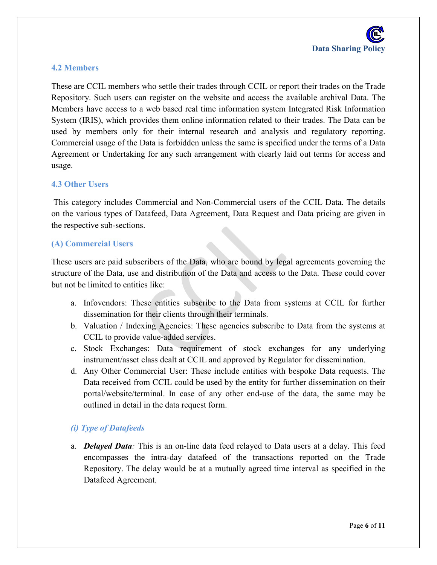## **4.2 Members**

These are CCIL members who settle their trades through CCIL or report their trades on the Trade Repository. Such users can register on the website and access the available archival Data. The Members have access to a web based real time information system Integrated Risk Information System (IRIS), which provides them online information related to their trades. The Data can be used by members only for their internal research and analysis and regulatory reporting. Commercial usage of the Data is forbidden unless the same is specified under the terms of a Data Agreement or Undertaking for any such arrangement with clearly laid out terms for access and usage.

#### **4.3 Other Users**

This category includes Commercial and Non-Commercial users of the CCIL Data. The details on the various types of Datafeed, Data Agreement, Data Request and Data pricing are given in the respective sub-sections.

#### **(A) Commercial Users**

These users are paid subscribers of the Data, who are bound by legal agreements governing the structure of the Data, use and distribution of the Data and access to the Data. These could cover but not be limited to entities like:

- a. Infovendors: These entities subscribe to the Data from systems at CCIL for further dissemination for their clients through their terminals.
- b. Valuation / Indexing Agencies: These agencies subscribe to Data from the systems at CCIL to provide value-added services.
- c. Stock Exchanges: Data requirement of stock exchanges for any underlying instrument/asset class dealt at CCIL and approved by Regulator for dissemination.
- d. Any Other Commercial User: These include entities with bespoke Data requests. The Data received from CCIL could be used by the entity for further dissemination on their portal/website/terminal. In case of any other end-use of the data, the same may be outlined in detail in the data request form.

## *(i) Type of Datafeeds*

a. *Delayed Data:* This is an on-line data feed relayed to Data users at a delay. This feed encompasses the intra-day datafeed of the transactions reported on the Trade Repository. The delay would be at a mutually agreed time interval as specified in the Datafeed Agreement.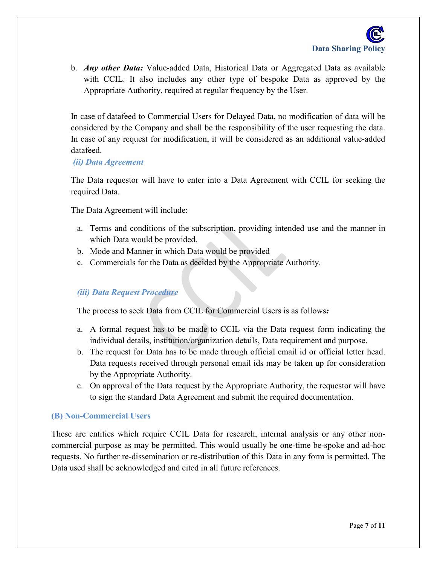b. *Any other Data:* Value-added Data, Historical Data or Aggregated Data as available with CCIL. It also includes any other type of bespoke Data as approved by the Appropriate Authority, required at regular frequency by the User.

In case of datafeed to Commercial Users for Delayed Data, no modification of data will be considered by the Company and shall be the responsibility of the user requesting the data. In case of any request for modification, it will be considered as an additional value-added datafeed.

## *(ii) Data Agreement*

The Data requestor will have to enter into a Data Agreement with CCIL for seeking the required Data.

The Data Agreement will include:

- a. Terms and conditions of the subscription, providing intended use and the manner in which Data would be provided.
- b. Mode and Manner in which Data would be provided
- c. Commercials for the Data as decided by the Appropriate Authority.

## *(iii) Data Request Procedure*

The process to seek Data from CCIL for Commercial Users is as follows*:*

- a. A formal request has to be made to CCIL via the Data request form indicating the individual details, institution/organization details, Data requirement and purpose.
- b. The request for Data has to be made through official email id or official letter head. Data requests received through personal email ids may be taken up for consideration by the Appropriate Authority.
- c. On approval of the Data request by the Appropriate Authority, the requestor will have to sign the standard Data Agreement and submit the required documentation.

## **(B) Non-Commercial Users**

These are entities which require CCIL Data for research, internal analysis or any other noncommercial purpose as may be permitted. This would usually be one-time be-spoke and ad-hoc requests. No further re-dissemination or re-distribution of this Data in any form is permitted. The Data used shall be acknowledged and cited in all future references.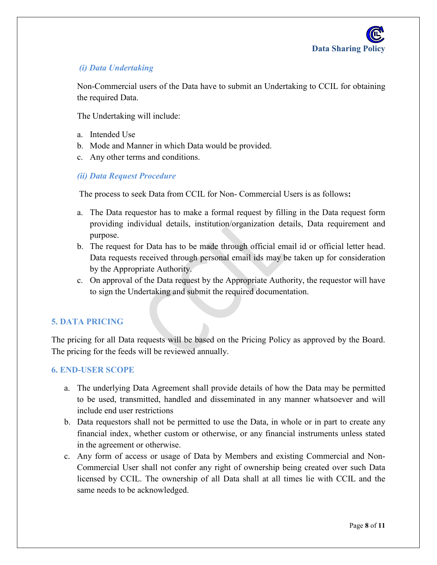# *(i) Data Undertaking*

Non-Commercial users of the Data have to submit an Undertaking to CCIL for obtaining the required Data.

The Undertaking will include:

- a. Intended Use
- b. Mode and Manner in which Data would be provided.
- c. Any other terms and conditions.

#### *(ii) Data Request Procedure*

The process to seek Data from CCIL for Non- Commercial Users is as follows**:**

- a. The Data requestor has to make a formal request by filling in the Data request form providing individual details, institution/organization details, Data requirement and purpose.
- b. The request for Data has to be made through official email id or official letter head. Data requests received through personal email ids may be taken up for consideration by the Appropriate Authority.
- c. On approval of the Data request by the Appropriate Authority, the requestor will have to sign the Undertaking and submit the required documentation.

## **5. DATA PRICING**

The pricing for all Data requests will be based on the Pricing Policy as approved by the Board. The pricing for the feeds will be reviewed annually.

#### **6. END-USER SCOPE**

- a. The underlying Data Agreement shall provide details of how the Data may be permitted to be used, transmitted, handled and disseminated in any manner whatsoever and will include end user restrictions
- b. Data requestors shall not be permitted to use the Data, in whole or in part to create any financial index, whether custom or otherwise, or any financial instruments unless stated in the agreement or otherwise.
- c. Any form of access or usage of Data by Members and existing Commercial and Non-Commercial User shall not confer any right of ownership being created over such Data licensed by CCIL. The ownership of all Data shall at all times lie with CCIL and the same needs to be acknowledged.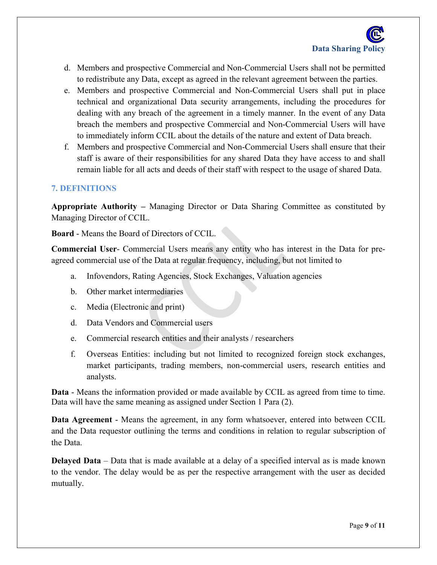- d. Members and prospective Commercial and Non-Commercial Users shall not be permitted to redistribute any Data, except as agreed in the relevant agreement between the parties.
- e. Members and prospective Commercial and Non-Commercial Users shall put in place technical and organizational Data security arrangements, including the procedures for dealing with any breach of the agreement in a timely manner. In the event of any Data breach the members and prospective Commercial and Non-Commercial Users will have to immediately inform CCIL about the details of the nature and extent of Data breach.
- f. Members and prospective Commercial and Non-Commercial Users shall ensure that their staff is aware of their responsibilities for any shared Data they have access to and shall remain liable for all acts and deeds of their staff with respect to the usage of shared Data.

#### **7. DEFINITIONS**

**Appropriate Authority –** Managing Director or Data Sharing Committee as constituted by Managing Director of CCIL.

**Board** - Means the Board of Directors of CCIL.

**Commercial User**- Commercial Users means any entity who has interest in the Data for preagreed commercial use of the Data at regular frequency, including, but not limited to

- a. Infovendors, Rating Agencies, Stock Exchanges, Valuation agencies
- b. Other market intermediaries
- c. Media (Electronic and print)
- d. Data Vendors and Commercial users
- e. Commercial research entities and their analysts / researchers
- f. Overseas Entities: including but not limited to recognized foreign stock exchanges, market participants, trading members, non-commercial users, research entities and analysts.

**Data** - Means the information provided or made available by CCIL as agreed from time to time. Data will have the same meaning as assigned under Section 1 Para (2).

**Data Agreement** - Means the agreement, in any form whatsoever, entered into between CCIL and the Data requestor outlining the terms and conditions in relation to regular subscription of the Data.

**Delayed Data** – Data that is made available at a delay of a specified interval as is made known to the vendor. The delay would be as per the respective arrangement with the user as decided mutually.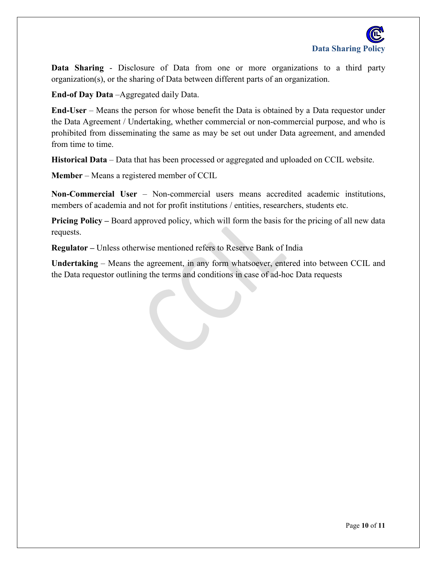

**Data Sharing** - Disclosure of Data from one or more organizations to a third party organization(s), or the sharing of Data between different parts of an organization.

**End-of Day Data** –Aggregated daily Data.

**End-User** – Means the person for whose benefit the Data is obtained by a Data requestor under the Data Agreement / Undertaking, whether commercial or non-commercial purpose, and who is prohibited from disseminating the same as may be set out under Data agreement, and amended from time to time.

**Historical Data** – Data that has been processed or aggregated and uploaded on CCIL website.

**Member** – Means a registered member of CCIL

**Non-Commercial User** – Non-commercial users means accredited academic institutions, members of academia and not for profit institutions / entities, researchers, students etc.

**Pricing Policy –** Board approved policy, which will form the basis for the pricing of all new data requests.

**Regulator –** Unless otherwise mentioned refers to Reserve Bank of India

**Undertaking** – Means the agreement, in any form whatsoever, entered into between CCIL and the Data requestor outlining the terms and conditions in case of ad-hoc Data requests